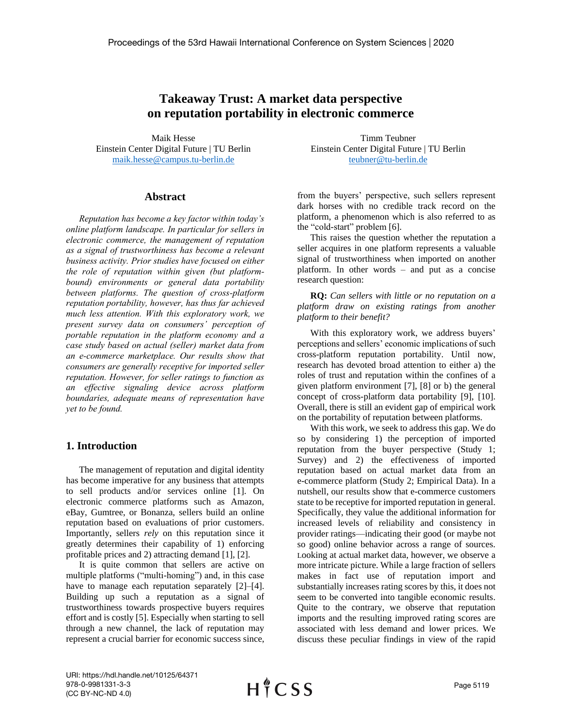# **Takeaway Trust: A market data perspective on reputation portability in electronic commerce**

Maik Hesse Einstein Center Digital Future | TU Berlin [maik.hesse@campus.tu-berlin.de](mailto:maik.hesse@campus.tu-berlin.de)

#### **Abstract**

*Reputation has become a key factor within today's online platform landscape. In particular for sellers in electronic commerce, the management of reputation as a signal of trustworthiness has become a relevant business activity. Prior studies have focused on either the role of reputation within given (but platformbound) environments or general data portability between platforms. The question of cross-platform reputation portability, however, has thus far achieved much less attention. With this exploratory work, we present survey data on consumers' perception of portable reputation in the platform economy and a case study based on actual (seller) market data from an e-commerce marketplace. Our results show that consumers are generally receptive for imported seller reputation. However, for seller ratings to function as an effective signaling device across platform boundaries, adequate means of representation have yet to be found.*

## **1. Introduction**

The management of reputation and digital identity has become imperative for any business that attempts to sell products and/or services online [1]. On electronic commerce platforms such as Amazon, eBay, Gumtree, or Bonanza, sellers build an online reputation based on evaluations of prior customers. Importantly, sellers *rely* on this reputation since it greatly determines their capability of 1) enforcing profitable prices and 2) attracting demand [1], [2].

It is quite common that sellers are active on multiple platforms ("multi-homing") and, in this case have to manage each reputation separately [2]–[4]. Building up such a reputation as a signal of trustworthiness towards prospective buyers requires effort and is costly [5]. Especially when starting to sell through a new channel, the lack of reputation may represent a crucial barrier for economic success since,

Timm Teubner Einstein Center Digital Future | TU Berlin [teubner@tu-berlin.de](mailto:teubner@tu-berlin.de)

from the buyers' perspective, such sellers represent dark horses with no credible track record on the platform, a phenomenon which is also referred to as the "cold-start" problem [6].

This raises the question whether the reputation a seller acquires in one platform represents a valuable signal of trustworthiness when imported on another platform. In other words – and put as a concise research question:

**RQ:** *Can sellers with little or no reputation on a platform draw on existing ratings from another platform to their benefit?*

With this exploratory work, we address buyers' perceptions and sellers' economic implications of such cross-platform reputation portability. Until now, research has devoted broad attention to either a) the roles of trust and reputation within the confines of a given platform environment [7], [8] or b) the general concept of cross-platform data portability [9], [10]. Overall, there is still an evident gap of empirical work on the portability of reputation between platforms.

With this work, we seek to address this gap. We do so by considering 1) the perception of imported reputation from the buyer perspective (Study 1; Survey) and 2) the effectiveness of imported reputation based on actual market data from an e-commerce platform (Study 2; Empirical Data). In a nutshell, our results show that e-commerce customers state to be receptive for imported reputation in general. Specifically, they value the additional information for increased levels of reliability and consistency in provider ratings—indicating their good (or maybe not so good) online behavior across a range of sources. Looking at actual market data, however, we observe a more intricate picture. While a large fraction of sellers makes in fact use of reputation import and substantially increases rating scores by this, it does not seem to be converted into tangible economic results. Quite to the contrary, we observe that reputation imports and the resulting improved rating scores are associated with less demand and lower prices. We discuss these peculiar findings in view of the rapid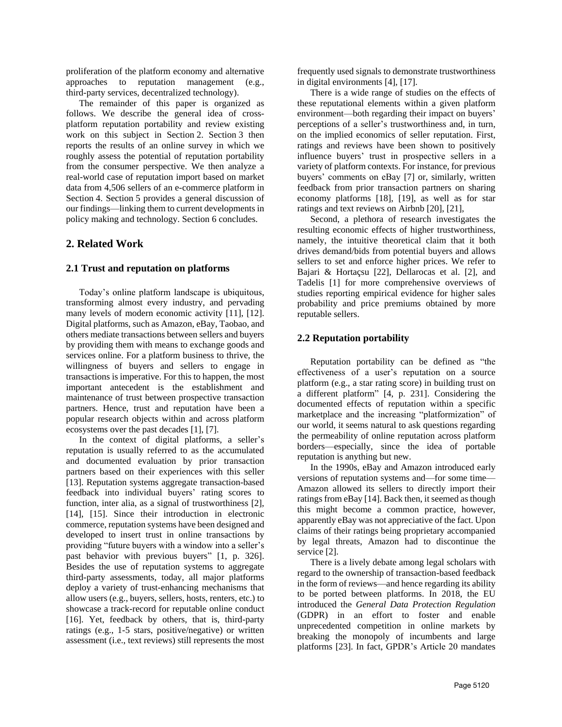proliferation of the platform economy and alternative approaches to reputation management (e.g., third-party services, decentralized technology).

The remainder of this paper is organized as follows. We describe the general idea of crossplatform reputation portability and review existing work on this subject in Section 2. Section 3 then reports the results of an online survey in which we roughly assess the potential of reputation portability from the consumer perspective. We then analyze a real-world case of reputation import based on market data from 4,506 sellers of an e-commerce platform in Section 4. Section 5 provides a general discussion of our findings—linking them to current developments in policy making and technology. Section 6 concludes.

## **2. Related Work**

## **2.1 Trust and reputation on platforms**

Today's online platform landscape is ubiquitous, transforming almost every industry, and pervading many levels of modern economic activity [11], [12]. Digital platforms, such as Amazon, eBay, Taobao, and others mediate transactions between sellers and buyers by providing them with means to exchange goods and services online. For a platform business to thrive, the willingness of buyers and sellers to engage in transactions is imperative. For this to happen, the most important antecedent is the establishment and maintenance of trust between prospective transaction partners. Hence, trust and reputation have been a popular research objects within and across platform ecosystems over the past decades [1], [7].

In the context of digital platforms, a seller's reputation is usually referred to as the accumulated and documented evaluation by prior transaction partners based on their experiences with this seller [13]. Reputation systems aggregate transaction-based feedback into individual buyers' rating scores to function, inter alia, as a signal of trustworthiness [2], [14], [15]. Since their introduction in electronic commerce, reputation systems have been designed and developed to insert trust in online transactions by providing "future buyers with a window into a seller's past behavior with previous buyers" [1, p. 326]. Besides the use of reputation systems to aggregate third-party assessments, today, all major platforms deploy a variety of trust-enhancing mechanisms that allow users (e.g., buyers, sellers, hosts, renters, etc.) to showcase a track-record for reputable online conduct [16]. Yet, feedback by others, that is, third-party ratings (e.g., 1-5 stars, positive/negative) or written assessment (i.e., text reviews) still represents the most

frequently used signals to demonstrate trustworthiness in digital environments [4], [17].

There is a wide range of studies on the effects of these reputational elements within a given platform environment—both regarding their impact on buyers' perceptions of a seller's trustworthiness and, in turn, on the implied economics of seller reputation. First, ratings and reviews have been shown to positively influence buyers' trust in prospective sellers in a variety of platform contexts. For instance, for previous buyers' comments on eBay [7] or, similarly, written feedback from prior transaction partners on sharing economy platforms [18], [19], as well as for star ratings and text reviews on Airbnb [20], [21],

Second, a plethora of research investigates the resulting economic effects of higher trustworthiness, namely, the intuitive theoretical claim that it both drives demand/bids from potential buyers and allows sellers to set and enforce higher prices. We refer to Bajari & Hortaçsu [22], Dellarocas et al. [2], and Tadelis [1] for more comprehensive overviews of studies reporting empirical evidence for higher sales probability and price premiums obtained by more reputable sellers.

## **2.2 Reputation portability**

Reputation portability can be defined as "the effectiveness of a user's reputation on a source platform (e.g., a star rating score) in building trust on a different platform" [4, p. 231]. Considering the documented effects of reputation within a specific marketplace and the increasing "platformization" of our world, it seems natural to ask questions regarding the permeability of online reputation across platform borders—especially, since the idea of portable reputation is anything but new.

In the 1990s, eBay and Amazon introduced early versions of reputation systems and—for some time— Amazon allowed its sellers to directly import their ratings from eBay [14]. Back then, it seemed as though this might become a common practice, however, apparently eBay was not appreciative of the fact. Upon claims of their ratings being proprietary accompanied by legal threats, Amazon had to discontinue the service [2].

There is a lively debate among legal scholars with regard to the ownership of transaction-based feedback in the form of reviews—and hence regarding its ability to be ported between platforms. In 2018, the EU introduced the *General Data Protection Regulation* (GDPR) in an effort to foster and enable unprecedented competition in online markets by breaking the monopoly of incumbents and large platforms [23]. In fact, GPDR's Article 20 mandates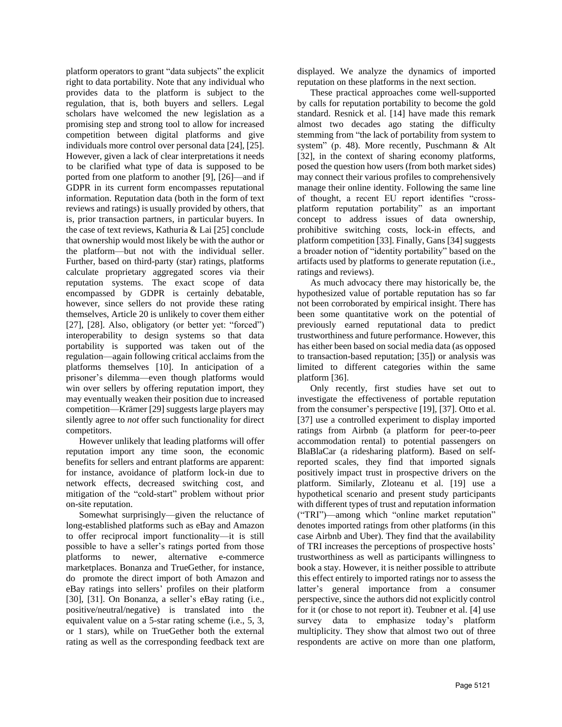platform operators to grant "data subjects" the explicit right to data portability. Note that any individual who provides data to the platform is subject to the regulation, that is, both buyers and sellers. Legal scholars have welcomed the new legislation as a promising step and strong tool to allow for increased competition between digital platforms and give individuals more control over personal data [24], [25]. However, given a lack of clear interpretations it needs to be clarified what type of data is supposed to be ported from one platform to another [9], [26]—and if GDPR in its current form encompasses reputational information. Reputation data (both in the form of text reviews and ratings) is usually provided by others, that is, prior transaction partners, in particular buyers. In the case of text reviews, Kathuria & Lai [25] conclude that ownership would most likely be with the author or the platform—but not with the individual seller. Further, based on third-party (star) ratings, platforms calculate proprietary aggregated scores via their reputation systems. The exact scope of data encompassed by GDPR is certainly debatable, however, since sellers do not provide these rating themselves, Article 20 is unlikely to cover them either [27], [28]. Also, obligatory (or better yet: "forced") interoperability to design systems so that data portability is supported was taken out of the regulation—again following critical acclaims from the platforms themselves [10]. In anticipation of a prisoner's dilemma—even though platforms would win over sellers by offering reputation import, they may eventually weaken their position due to increased competition—Krämer [29] suggests large players may silently agree to *not* offer such functionality for direct competitors.

However unlikely that leading platforms will offer reputation import any time soon, the economic benefits for sellers and entrant platforms are apparent: for instance, avoidance of platform lock-in due to network effects, decreased switching cost, and mitigation of the "cold-start" problem without prior on-site reputation.

Somewhat surprisingly—given the reluctance of long-established platforms such as eBay and Amazon to offer reciprocal import functionality—it is still possible to have a seller's ratings ported from those platforms to newer, alternative e-commerce marketplaces. Bonanza and TrueGether*,* for instance, do promote the direct import of both Amazon and eBay ratings into sellers' profiles on their platform [30], [31]. On Bonanza, a seller's eBay rating (i.e., positive/neutral/negative) is translated into the equivalent value on a 5-star rating scheme (i.e., 5, 3, or 1 stars), while on TrueGether both the external rating as well as the corresponding feedback text are

displayed. We analyze the dynamics of imported reputation on these platforms in the next section.

These practical approaches come well-supported by calls for reputation portability to become the gold standard. Resnick et al. [14] have made this remark almost two decades ago stating the difficulty stemming from "the lack of portability from system to system" (p. 48). More recently, Puschmann & Alt [32], in the context of sharing economy platforms, posed the question how users (from both market sides) may connect their various profiles to comprehensively manage their online identity. Following the same line of thought, a recent EU report identifies "crossplatform reputation portability" as an important concept to address issues of data ownership, prohibitive switching costs, lock-in effects, and platform competition [33]. Finally, Gans [34] suggests a broader notion of "identity portability" based on the artifacts used by platforms to generate reputation (i.e., ratings and reviews).

As much advocacy there may historically be, the hypothesized value of portable reputation has so far not been corroborated by empirical insight. There has been some quantitative work on the potential of previously earned reputational data to predict trustworthiness and future performance. However, this has either been based on social media data (as opposed to transaction-based reputation; [35]) or analysis was limited to different categories within the same platform [36].

Only recently, first studies have set out to investigate the effectiveness of portable reputation from the consumer's perspective [19], [37]. Otto et al. [37] use a controlled experiment to display imported ratings from Airbnb (a platform for peer-to-peer accommodation rental) to potential passengers on BlaBlaCar (a ridesharing platform). Based on selfreported scales, they find that imported signals positively impact trust in prospective drivers on the platform. Similarly, Zloteanu et al. [19] use a hypothetical scenario and present study participants with different types of trust and reputation information ("TRI")—among which "online market reputation" denotes imported ratings from other platforms (in this case Airbnb and Uber). They find that the availability of TRI increases the perceptions of prospective hosts' trustworthiness as well as participants willingness to book a stay. However, it is neither possible to attribute this effect entirely to imported ratings nor to assess the latter's general importance from a consumer perspective, since the authors did not explicitly control for it (or chose to not report it). Teubner et al. [4] use survey data to emphasize today's platform multiplicity. They show that almost two out of three respondents are active on more than one platform,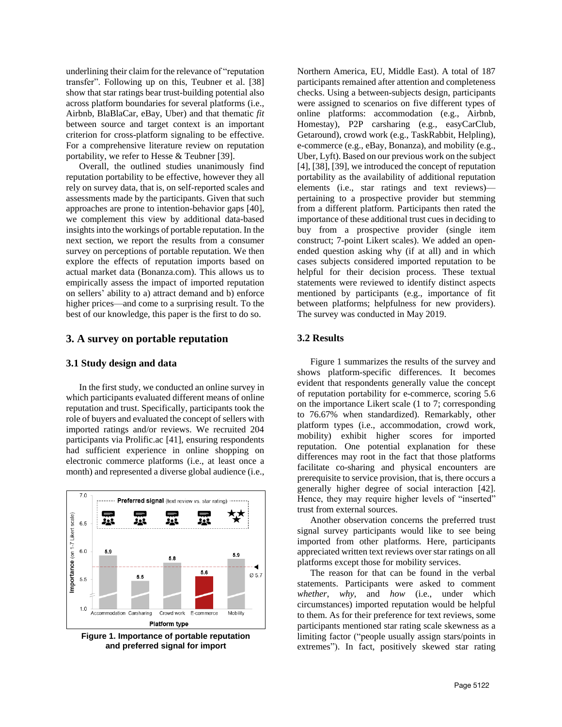underlining their claim for the relevance of "reputation transfer". Following up on this, Teubner et al. [38] show that star ratings bear trust-building potential also across platform boundaries for several platforms (i.e., Airbnb, BlaBlaCar, eBay, Uber) and that thematic *fit* between source and target context is an important criterion for cross-platform signaling to be effective. For a comprehensive literature review on reputation portability, we refer to Hesse & Teubner [39].

Overall, the outlined studies unanimously find reputation portability to be effective, however they all rely on survey data, that is, on self-reported scales and assessments made by the participants. Given that such approaches are prone to intention-behavior gaps [40], we complement this view by additional data-based insights into the workings of portable reputation. In the next section, we report the results from a consumer survey on perceptions of portable reputation. We then explore the effects of reputation imports based on actual market data (Bonanza.com). This allows us to empirically assess the impact of imported reputation on sellers' ability to a) attract demand and b) enforce higher prices—and come to a surprising result. To the best of our knowledge, this paper is the first to do so.

#### **3. A survey on portable reputation**

#### **3.1 Study design and data**

In the first study, we conducted an online survey in which participants evaluated different means of online reputation and trust. Specifically, participants took the role of buyers and evaluated the concept of sellers with imported ratings and/or reviews. We recruited 204 participants via Prolific.ac [41], ensuring respondents had sufficient experience in online shopping on electronic commerce platforms (i.e., at least once a month) and represented a diverse global audience (i.e.,



**Figure 1. Importance of portable reputation and preferred signal for import**

Northern America, EU, Middle East). A total of 187 participants remained after attention and completeness checks. Using a between-subjects design, participants were assigned to scenarios on five different types of online platforms: accommodation (e.g., Airbnb, Homestay), P2P carsharing (e.g., easyCarClub*,*  Getaround), crowd work (e.g., TaskRabbit, Helpling), e-commerce (e.g., eBay, Bonanza), and mobility (e.g., Uber, Lyft). Based on our previous work on the subject [4], [38], [39], we introduced the concept of reputation portability as the availability of additional reputation elements (i.e., star ratings and text reviews) pertaining to a prospective provider but stemming from a different platform. Participants then rated the importance of these additional trust cues in deciding to buy from a prospective provider (single item construct; 7-point Likert scales). We added an openended question asking why (if at all) and in which cases subjects considered imported reputation to be helpful for their decision process. These textual statements were reviewed to identify distinct aspects mentioned by participants (e.g., importance of fit between platforms; helpfulness for new providers). The survey was conducted in May 2019.

## **3.2 Results**

Figure 1 summarizes the results of the survey and shows platform-specific differences. It becomes evident that respondents generally value the concept of reputation portability for e-commerce, scoring 5.6 on the importance Likert scale (1 to 7; corresponding to 76.67% when standardized). Remarkably, other platform types (i.e., accommodation, crowd work, mobility) exhibit higher scores for imported reputation. One potential explanation for these differences may root in the fact that those platforms facilitate co-sharing and physical encounters are prerequisite to service provision, that is, there occurs a generally higher degree of social interaction [42]. Hence, they may require higher levels of "inserted" trust from external sources.

Another observation concerns the preferred trust signal survey participants would like to see being imported from other platforms. Here, participants appreciated written text reviews over star ratings on all platforms except those for mobility services.

The reason for that can be found in the verbal statements. Participants were asked to comment *whether*, *why*, and *how* (i.e., under which circumstances) imported reputation would be helpful to them. As for their preference for text reviews, some participants mentioned star rating scale skewness as a limiting factor ("people usually assign stars/points in extremes"). In fact, positively skewed star rating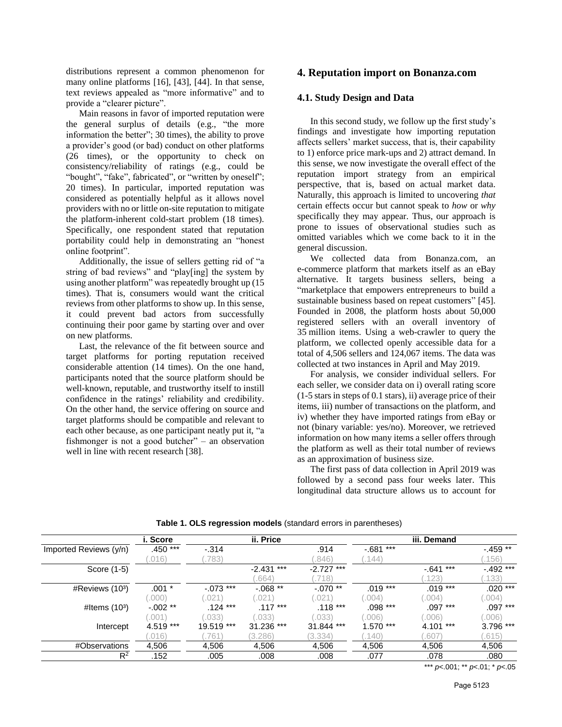distributions represent a common phenomenon for many online platforms [16], [43], [44]. In that sense, text reviews appealed as "more informative" and to provide a "clearer picture".

Main reasons in favor of imported reputation were the general surplus of details (e.g., "the more information the better"; 30 times), the ability to prove a provider's good (or bad) conduct on other platforms (26 times), or the opportunity to check on consistency/reliability of ratings (e.g., could be "bought", "fake", fabricated", or "written by oneself"; 20 times). In particular, imported reputation was considered as potentially helpful as it allows novel providers with no or little on-site reputation to mitigate the platform-inherent cold-start problem (18 times). Specifically, one respondent stated that reputation portability could help in demonstrating an "honest online footprint".

Additionally, the issue of sellers getting rid of "a string of bad reviews" and "play[ing] the system by using another platform" was repeatedly brought up (15 times). That is, consumers would want the critical reviews from other platforms to show up. In this sense, it could prevent bad actors from successfully continuing their poor game by starting over and over on new platforms.

Last, the relevance of the fit between source and target platforms for porting reputation received considerable attention (14 times). On the one hand, participants noted that the source platform should be well-known, reputable, and trustworthy itself to instill confidence in the ratings' reliability and credibility. On the other hand, the service offering on source and target platforms should be compatible and relevant to each other because, as one participant neatly put it, "a fishmonger is not a good butcher" – an observation well in line with recent research [38].

## **4. Reputation import on Bonanza.com**

#### **4.1. Study Design and Data**

In this second study, we follow up the first study's findings and investigate how importing reputation affects sellers' market success, that is, their capability to 1) enforce price mark-ups and 2) attract demand. In this sense, we now investigate the overall effect of the reputation import strategy from an empirical perspective, that is, based on actual market data. Naturally, this approach is limited to uncovering *that* certain effects occur but cannot speak to *how* or *why* specifically they may appear. Thus, our approach is prone to issues of observational studies such as omitted variables which we come back to it in the general discussion.

We collected data from Bonanza.com, an e-commerce platform that markets itself as an eBay alternative. It targets business sellers, being a "marketplace that empowers entrepreneurs to build a sustainable business based on repeat customers" [45]. Founded in 2008, the platform hosts about 50,000 registered sellers with an overall inventory of 35 million items. Using a web-crawler to query the platform, we collected openly accessible data for a total of 4,506 sellers and 124,067 items. The data was collected at two instances in April and May 2019.

For analysis, we consider individual sellers. For each seller, we consider data on i) overall rating score (1-5 stars in steps of 0.1 stars), ii) average price of their items, iii) number of transactions on the platform, and iv) whether they have imported ratings from eBay or not (binary variable: yes/no). Moreover, we retrieved information on how many items a seller offers through the platform as well as their total number of reviews as an approximation of business size.

The first pass of data collection in April 2019 was followed by a second pass four weeks later. This longitudinal data structure allows us to account for

|                        | i. Score  |             | ii. Price    |                 |               | iii. Demand  |             |
|------------------------|-----------|-------------|--------------|-----------------|---------------|--------------|-------------|
| Imported Reviews (y/n) | .450 ***  | $-0.314$    |              | .914            | ***<br>$-681$ |              | $-459**$    |
|                        | .016)     | .783)       |              | .846)           | (144)         |              | .156)       |
| Score (1-5)            |           |             | $-2.431$ *** | $-2.727$ ***    |               | $-.641$ ***  | $-.492$ *** |
|                        |           |             | .664)        | .718)           |               | .123)        | .133)       |
| #Reviews (103)         | $.001 *$  | $-.073$ *** | $-068**$     | $-.070**$       | $.019***$     | $.019***$    | $.020***$   |
|                        | .000)     | .021        | .021         | .021            | .004          | .004)        | .004        |
| #Items $(103)$         | $-.002**$ | .124 ***    | $.117***$    | .118 ***        | .098 ***      | ***<br>.097  | $.097***$   |
|                        | .001      | .033)       | .033)        | .033)           | .006          | .006)        | .006        |
| Intercept              | 4.519 *** | 19.519 ***  | 31.236 ***   | $***$<br>31.844 | ***<br>1.570  | ***<br>4.101 | 3.796 ***   |
|                        | .016)     | .761        | (3.286)      | (3.334)         | (140)         | .607         | .615)       |
| #Observations          | 4,506     | 4,506       | 4,506        | 4,506           | 4,506         | 4,506        | 4,506       |
| R <sup>2</sup>         | .152      | .005        | .008         | .008            | .077          | .078         | .080        |

#### **Table 1. OLS regression models** (standard errors in parentheses)

\*\*\* *p*<.001; \*\* *p*<.01; \* *p*<.05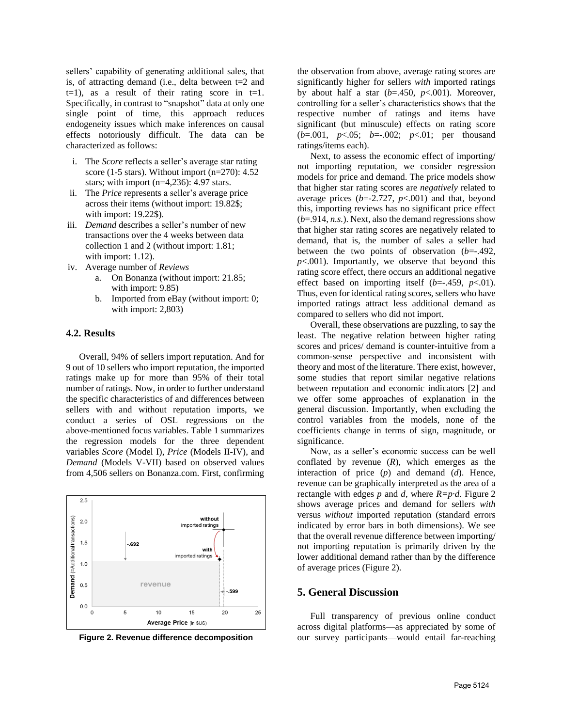sellers' capability of generating additional sales, that is, of attracting demand (i.e., delta between t=2 and  $t=1$ ), as a result of their rating score in  $t=1$ . Specifically, in contrast to "snapshot" data at only one single point of time, this approach reduces endogeneity issues which make inferences on causal effects notoriously difficult. The data can be characterized as follows:

- i. The *Score* reflects a seller's average star rating score (1-5 stars). Without import  $(n=270)$ : 4.52 stars; with import (n=4,236): 4.97 stars.
- ii. The *Price* represents a seller's average price across their items (without import: 19.82\$; with import: 19.22\$).
- iii. *Demand* describes a seller's number of new transactions over the 4 weeks between data collection 1 and 2 (without import: 1.81; with import: 1.12).
- iv. Average number of *Reviews*
	- a. On Bonanza (without import: 21.85; with import: 9.85)
	- b. Imported from eBay (without import: 0; with import: 2,803)

#### **4.2. Results**

Overall, 94% of sellers import reputation. And for 9 out of 10 sellers who import reputation, the imported ratings make up for more than 95% of their total number of ratings. Now, in order to further understand the specific characteristics of and differences between sellers with and without reputation imports, we conduct a series of OSL regressions on the above-mentioned focus variables. Table 1 summarizes the regression models for the three dependent variables *Score* (Model I), *Price* (Models II-IV), and *Demand* (Models V-VII) based on observed values from 4,506 sellers on Bonanza.com. First, confirming



the observation from above, average rating scores are significantly higher for sellers *with* imported ratings by about half a star  $(b=450, p<.001)$ . Moreover, controlling for a seller's characteristics shows that the respective number of ratings and items have significant (but minuscule) effects on rating score (*b*=.001, *p*<.05; *b*=-.002; *p*<.01; per thousand ratings/items each).

Next, to assess the economic effect of importing/ not importing reputation, we consider regression models for price and demand. The price models show that higher star rating scores are *negatively* related to average prices  $(b=2.727, p<0.01)$  and that, beyond this, importing reviews has no significant price effect (*b*=.914, *n.s.*). Next, also the demand regressions show that higher star rating scores are negatively related to demand, that is, the number of sales a seller had between the two points of observation (*b*=-.492,  $p<.001$ ). Importantly, we observe that beyond this rating score effect, there occurs an additional negative effect based on importing itself  $(b=-.459, p<.01)$ . Thus, even for identical rating scores, sellers who have imported ratings attract less additional demand as compared to sellers who did not import.

Overall, these observations are puzzling, to say the least. The negative relation between higher rating scores and prices/ demand is counter-intuitive from a common-sense perspective and inconsistent with theory and most of the literature. There exist, however, some studies that report similar negative relations between reputation and economic indicators [2] and we offer some approaches of explanation in the general discussion. Importantly, when excluding the control variables from the models, none of the coefficients change in terms of sign, magnitude, or significance.

Now, as a seller's economic success can be well conflated by revenue (*R*), which emerges as the interaction of price (*p*) and demand (*d*). Hence, revenue can be graphically interpreted as the area of a rectangle with edges  $p$  and  $d$ , where  $R=p \cdot d$ . Figure 2 shows average prices and demand for sellers *with* versus *without* imported reputation (standard errors indicated by error bars in both dimensions). We see that the overall revenue difference between importing/ not importing reputation is primarily driven by the lower additional demand rather than by the difference of average prices (Figure 2).

#### **5. General Discussion**

Full transparency of previous online conduct across digital platforms—as appreciated by some of **Figure 2. Revenue difference decomposition** our survey participants—would entail far-reaching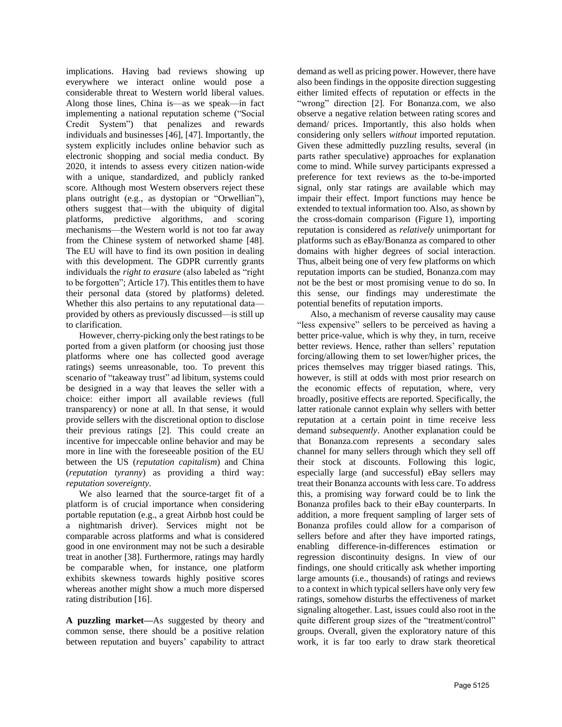implications. Having bad reviews showing up everywhere we interact online would pose a considerable threat to Western world liberal values. Along those lines, China is—as we speak—in fact implementing a national reputation scheme ("Social Credit System") that penalizes and rewards individuals and businesses [46], [47]. Importantly, the system explicitly includes online behavior such as electronic shopping and social media conduct. By 2020, it intends to assess every citizen nation-wide with a unique, standardized, and publicly ranked score. Although most Western observers reject these plans outright (e.g., as dystopian or "Orwellian"), others suggest that—with the ubiquity of digital platforms, predictive algorithms, and scoring mechanisms—the Western world is not too far away from the Chinese system of networked shame [48]. The EU will have to find its own position in dealing with this development. The GDPR currently grants individuals the *right to erasure* (also labeled as "right to be forgotten"; Article 17). This entitles them to have their personal data (stored by platforms) deleted. Whether this also pertains to any reputational data provided by others as previously discussed—is still up to clarification.

However, cherry-picking only the best ratings to be ported from a given platform (or choosing just those platforms where one has collected good average ratings) seems unreasonable, too. To prevent this scenario of "takeaway trust" ad libitum, systems could be designed in a way that leaves the seller with a choice: either import all available reviews (full transparency) or none at all. In that sense, it would provide sellers with the discretional option to disclose their previous ratings [2]. This could create an incentive for impeccable online behavior and may be more in line with the foreseeable position of the EU between the US (*reputation capitalism*) and China (*reputation tyranny*) as providing a third way: *reputation sovereignty*.

We also learned that the source-target fit of a platform is of crucial importance when considering portable reputation (e.g., a great Airbnb host could be a nightmarish driver). Services might not be comparable across platforms and what is considered good in one environment may not be such a desirable treat in another [38]. Furthermore, ratings may hardly be comparable when, for instance, one platform exhibits skewness towards highly positive scores whereas another might show a much more dispersed rating distribution [16].

**A puzzling market—**As suggested by theory and common sense, there should be a positive relation between reputation and buyers' capability to attract demand as well as pricing power. However, there have also been findings in the opposite direction suggesting either limited effects of reputation or effects in the "wrong" direction [2]. For Bonanza.com, we also observe a negative relation between rating scores and demand/ prices. Importantly, this also holds when considering only sellers *without* imported reputation. Given these admittedly puzzling results, several (in parts rather speculative) approaches for explanation come to mind. While survey participants expressed a preference for text reviews as the to-be-imported signal, only star ratings are available which may impair their effect. Import functions may hence be extended to textual information too. Also, as shown by the cross-domain comparison (Figure 1), importing reputation is considered as *relatively* unimportant for platforms such as eBay/Bonanza as compared to other domains with higher degrees of social interaction. Thus, albeit being one of very few platforms on which reputation imports can be studied, Bonanza.com may not be the best or most promising venue to do so. In this sense, our findings may underestimate the potential benefits of reputation imports.

Also, a mechanism of reverse causality may cause "less expensive" sellers to be perceived as having a better price-value, which is why they, in turn, receive better reviews. Hence, rather than sellers' reputation forcing/allowing them to set lower/higher prices, the prices themselves may trigger biased ratings. This, however, is still at odds with most prior research on the economic effects of reputation, where, very broadly, positive effects are reported. Specifically, the latter rationale cannot explain why sellers with better reputation at a certain point in time receive less demand *subsequently*. Another explanation could be that Bonanza.com represents a secondary sales channel for many sellers through which they sell off their stock at discounts. Following this logic, especially large (and successful) eBay sellers may treat their Bonanza accounts with less care. To address this, a promising way forward could be to link the Bonanza profiles back to their eBay counterparts. In addition, a more frequent sampling of larger sets of Bonanza profiles could allow for a comparison of sellers before and after they have imported ratings, enabling difference-in-differences estimation or regression discontinuity designs. In view of our findings, one should critically ask whether importing large amounts (i.e., thousands) of ratings and reviews to a context in which typical sellers have only very few ratings, somehow disturbs the effectiveness of market signaling altogether. Last, issues could also root in the quite different group sizes of the "treatment/control" groups. Overall, given the exploratory nature of this work, it is far too early to draw stark theoretical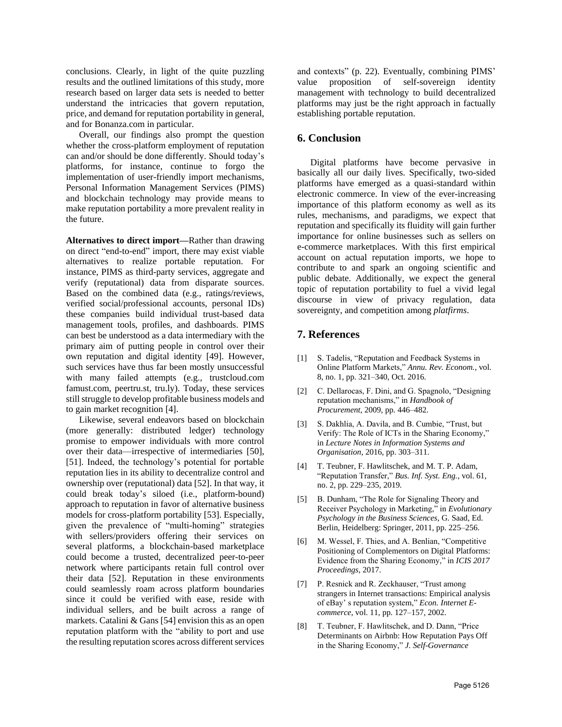conclusions. Clearly, in light of the quite puzzling results and the outlined limitations of this study, more research based on larger data sets is needed to better understand the intricacies that govern reputation, price, and demand for reputation portability in general, and for Bonanza.com in particular.

Overall, our findings also prompt the question whether the cross-platform employment of reputation can and/or should be done differently. Should today's platforms, for instance, continue to forgo the implementation of user-friendly import mechanisms, Personal Information Management Services (PIMS) and blockchain technology may provide means to make reputation portability a more prevalent reality in the future.

**Alternatives to direct import—**Rather than drawing on direct "end-to-end" import, there may exist viable alternatives to realize portable reputation. For instance, PIMS as third-party services, aggregate and verify (reputational) data from disparate sources. Based on the combined data (e.g., ratings/reviews, verified social/professional accounts, personal IDs) these companies build individual trust-based data management tools, profiles, and dashboards. PIMS can best be understood as a data intermediary with the primary aim of putting people in control over their own reputation and digital identity [49]. However, such services have thus far been mostly unsuccessful with many failed attempts (e.g., trustcloud.com famust.com, peertru.st, tru.ly). Today, these services still struggle to develop profitable business models and to gain market recognition [4].

Likewise, several endeavors based on blockchain (more generally: distributed ledger) technology promise to empower individuals with more control over their data—irrespective of intermediaries [50], [51]. Indeed, the technology's potential for portable reputation lies in its ability to decentralize control and ownership over (reputational) data [52]. In that way, it could break today's siloed (i.e., platform-bound) approach to reputation in favor of alternative business models for cross-platform portability [53]. Especially, given the prevalence of "multi-homing" strategies with sellers/providers offering their services on several platforms, a blockchain-based marketplace could become a trusted, decentralized peer-to-peer network where participants retain full control over their data [52]. Reputation in these environments could seamlessly roam across platform boundaries since it could be verified with ease, reside with individual sellers, and be built across a range of markets. Catalini & Gans [54] envision this as an open reputation platform with the "ability to port and use the resulting reputation scores across different services and contexts" (p. 22). Eventually, combining PIMS' value proposition of self-sovereign identity management with technology to build decentralized platforms may just be the right approach in factually establishing portable reputation.

## **6. Conclusion**

Digital platforms have become pervasive in basically all our daily lives. Specifically, two-sided platforms have emerged as a quasi-standard within electronic commerce. In view of the ever-increasing importance of this platform economy as well as its rules, mechanisms, and paradigms, we expect that reputation and specifically its fluidity will gain further importance for online businesses such as sellers on e-commerce marketplaces. With this first empirical account on actual reputation imports, we hope to contribute to and spark an ongoing scientific and public debate. Additionally, we expect the general topic of reputation portability to fuel a vivid legal discourse in view of privacy regulation, data sovereignty, and competition among *platfirms*.

## **7. References**

- [1] S. Tadelis, "Reputation and Feedback Systems in Online Platform Markets," *Annu. Rev. Econom.*, vol. 8, no. 1, pp. 321–340, Oct. 2016.
- [2] C. Dellarocas, F. Dini, and G. Spagnolo, "Designing reputation mechanisms," in *Handbook of Procurement*, 2009, pp. 446–482.
- [3] S. Dakhlia, A. Davila, and B. Cumbie, "Trust, but Verify: The Role of ICTs in the Sharing Economy," in *Lecture Notes in Information Systems and Organisation*, 2016, pp. 303–311.
- [4] T. Teubner, F. Hawlitschek, and M. T. P. Adam, "Reputation Transfer," *Bus. Inf. Syst. Eng.*, vol. 61, no. 2, pp. 229–235, 2019.
- [5] B. Dunham, "The Role for Signaling Theory and Receiver Psychology in Marketing," in *Evolutionary Psychology in the Business Sciences*, G. Saad, Ed. Berlin, Heidelberg: Springer, 2011, pp. 225–256.
- [6] M. Wessel, F. Thies, and A. Benlian, "Competitive Positioning of Complementors on Digital Platforms: Evidence from the Sharing Economy," in *ICIS 2017 Proceedings*, 2017.
- [7] P. Resnick and R. Zeckhauser, "Trust among" strangers in Internet transactions: Empirical analysis of eBay' s reputation system," *Econ. Internet Ecommerce*, vol. 11, pp. 127–157, 2002.
- [8] T. Teubner, F. Hawlitschek, and D. Dann, "Price Determinants on Airbnb: How Reputation Pays Off in the Sharing Economy," *J. Self-Governance*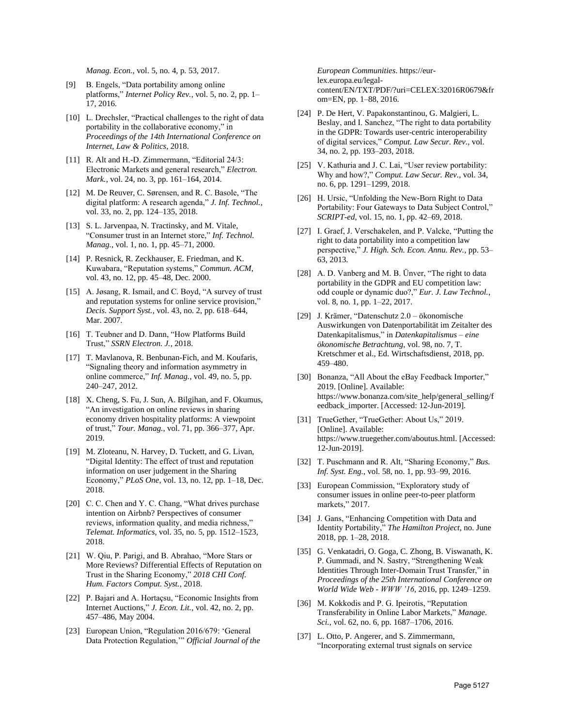*Manag. Econ.*, vol. 5, no. 4, p. 53, 2017.

- [9] B. Engels, "Data portability among online platforms," *Internet Policy Rev.*, vol. 5, no. 2, pp. 1– 17, 2016.
- [10] L. Drechsler, "Practical challenges to the right of data portability in the collaborative economy," in *Proceedings of the 14th International Conference on Internet, Law & Politics*, 2018.
- [11] R. Alt and H.-D. Zimmermann, "Editorial 24/3: Electronic Markets and general research," *Electron. Mark.*, vol. 24, no. 3, pp. 161–164, 2014.
- [12] M. De Reuver, C. Sørensen, and R. C. Basole, "The digital platform: A research agenda," *J. Inf. Technol.*, vol. 33, no. 2, pp. 124–135, 2018.
- [13] S. L. Jarvenpaa, N. Tractinsky, and M. Vitale, "Consumer trust in an Internet store," *Inf. Technol. Manag.*, vol. 1, no. 1, pp. 45–71, 2000.
- [14] P. Resnick, R. Zeckhauser, E. Friedman, and K. Kuwabara, "Reputation systems," *Commun. ACM*, vol. 43, no. 12, pp. 45–48, Dec. 2000.
- [15] A. Jøsang, R. Ismail, and C. Boyd, "A survey of trust and reputation systems for online service provision," *Decis. Support Syst.*, vol. 43, no. 2, pp. 618–644, Mar. 2007.
- [16] T. Teubner and D. Dann, "How Platforms Build Trust," *SSRN Electron. J.*, 2018.
- [17] T. Mavlanova, R. Benbunan-Fich, and M. Koufaris, "Signaling theory and information asymmetry in online commerce," *Inf. Manag.*, vol. 49, no. 5, pp. 240–247, 2012.
- [18] X. Cheng, S. Fu, J. Sun, A. Bilgihan, and F. Okumus, "An investigation on online reviews in sharing economy driven hospitality platforms: A viewpoint of trust," *Tour. Manag.*, vol. 71, pp. 366–377, Apr. 2019.
- [19] M. Zloteanu, N. Harvey, D. Tuckett, and G. Livan, "Digital Identity: The effect of trust and reputation information on user judgement in the Sharing Economy," *PLoS One*, vol. 13, no. 12, pp. 1–18, Dec. 2018.
- [20] C. C. Chen and Y. C. Chang, "What drives purchase intention on Airbnb? Perspectives of consumer reviews, information quality, and media richness," *Telemat. Informatics*, vol. 35, no. 5, pp. 1512–1523, 2018.
- [21] W. Qiu, P. Parigi, and B. Abrahao, "More Stars or More Reviews? Differential Effects of Reputation on Trust in the Sharing Economy," *2018 CHI Conf. Hum. Factors Comput. Syst.*, 2018.
- [22] P. Bajari and A. Hortaçsu, "Economic Insights from Internet Auctions," *J. Econ. Lit.*, vol. 42, no. 2, pp. 457–486, May 2004.
- [23] European Union, "Regulation 2016/679: 'General Data Protection Regulation,'" *Official Journal of the*

*European Communities*. https://eurlex.europa.eu/legalcontent/EN/TXT/PDF/?uri=CELEX:32016R0679&fr om=EN, pp. 1–88, 2016.

- [24] P. De Hert, V. Papakonstantinou, G. Malgieri, L. Beslay, and I. Sanchez, "The right to data portability in the GDPR: Towards user-centric interoperability of digital services," *Comput. Law Secur. Rev.*, vol. 34, no. 2, pp. 193–203, 2018.
- [25] V. Kathuria and J. C. Lai, "User review portability: Why and how?," *Comput. Law Secur. Rev.*, vol. 34, no. 6, pp. 1291–1299, 2018.
- [26] H. Ursic, "Unfolding the New-Born Right to Data Portability: Four Gateways to Data Subject Control," *SCRIPT-ed*, vol. 15, no. 1, pp. 42–69, 2018.
- [27] I. Graef, J. Verschakelen, and P. Valcke, "Putting the right to data portability into a competition law perspective," *J. High. Sch. Econ. Annu. Rev.*, pp. 53– 63, 2013.
- [28] A. D. Vanberg and M. B. Ünver, "The right to data portability in the GDPR and EU competition law: odd couple or dynamic duo?," *Eur. J. Law Technol.*, vol. 8, no. 1, pp. 1–22, 2017.
- [29] J. Krämer, "Datenschutz 2.0 ökonomische Auswirkungen von Datenportabilität im Zeitalter des Datenkapitalismus," in *Datenkapitalismus – eine ökonomische Betrachtung*, vol. 98, no. 7, T. Kretschmer et al., Ed. Wirtschaftsdienst, 2018, pp. 459–480.
- [30] Bonanza, "All About the eBay Feedback Importer," 2019. [Online]. Available: https://www.bonanza.com/site\_help/general\_selling/f eedback\_importer. [Accessed: 12-Jun-2019].
- [31] TrueGether, "TrueGether: About Us," 2019. [Online]. Available: https://www.truegether.com/aboutus.html. [Accessed: 12-Jun-2019].
- [32] T. Puschmann and R. Alt, "Sharing Economy," *Bus. Inf. Syst. Eng.*, vol. 58, no. 1, pp. 93–99, 2016.
- [33] European Commission, "Exploratory study of consumer issues in online peer-to-peer platform markets," 2017.
- [34] J. Gans, "Enhancing Competition with Data and Identity Portability," *The Hamilton Project*, no. June 2018, pp. 1–28, 2018.
- [35] G. Venkatadri, O. Goga, C. Zhong, B. Viswanath, K. P. Gummadi, and N. Sastry, "Strengthening Weak Identities Through Inter-Domain Trust Transfer," in *Proceedings of the 25th International Conference on World Wide Web - WWW '16*, 2016, pp. 1249–1259.
- [36] M. Kokkodis and P. G. Ipeirotis, "Reputation Transferability in Online Labor Markets," *Manage. Sci.*, vol. 62, no. 6, pp. 1687–1706, 2016.
- [37] L. Otto, P. Angerer, and S. Zimmermann, "Incorporating external trust signals on service